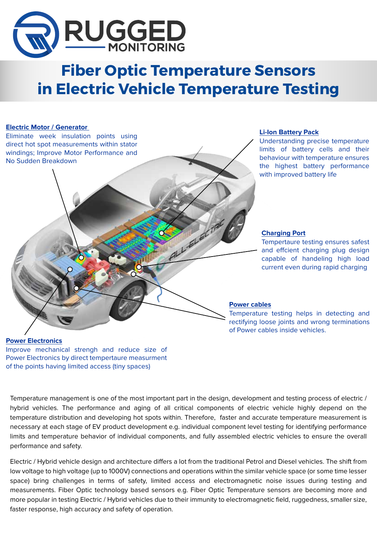

# **Fiber Optic Temperature Sensors in Electric Vehicle Temperature Testing**

ALL SLECTA

#### **Electric Motor / Generator**

Eliminate week insulation points using direct hot spot measurements within stator windings; Improve Motor Performance and No Sudden Breakdown

#### **Li-Ion Battery Pack**

Understanding precise temperature limits of battery cells and their behaviour with temperature ensures the highest battery performance with improved battery life

#### **Charging Port**

Tempertaure testing ensures safest and effcient charging plug design capable of handeling high load current even during rapid charging

#### **Power cables**

Temperature testing helps in detecting and rectifying loose joints and wrong terminations of Power cables inside vehicles.

### **Power Electronics**

Improve mechanical strengh and reduce size of Power Electronics by direct tempertaure measurment of the points having limited access (tiny spaces)

Temperature management is one of the most important part in the design, development and testing process of electric / hybrid vehicles. The performance and aging of all critical components of electric vehicle highly depend on the temperature distribution and developing hot spots within. Therefore, faster and accurate temperature measurement is necessary at each stage of EV product development e.g. individual component level testing for identifying performance limits and temperature behavior of individual components, and fully assembled electric vehicles to ensure the overall performance and safety.

Electric / Hybrid vehicle design and architecture differs a lot from the traditional Petrol and Diesel vehicles. The shift from low voltage to high voltage (up to 1000V) connections and operations within the similar vehicle space (or some time lesser space) bring challenges in terms of safety, limited access and electromagnetic noise issues during testing and measurements. Fiber Optic technology based sensors e.g. Fiber Optic Temperature sensors are becoming more and more popular in testing Electric / Hybrid vehicles due to their immunity to electromagnetic field, ruggedness, smaller size, faster response, high accuracy and safety of operation.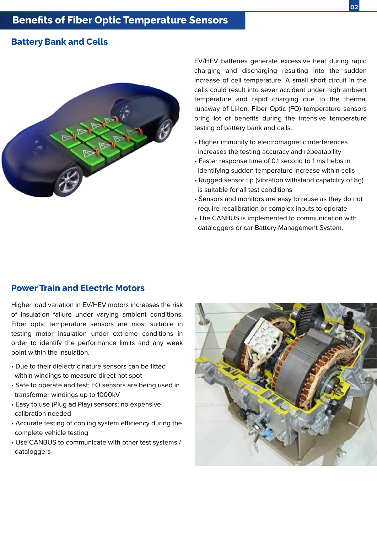#### **Battery Bank and Cells**



EV/HEV batteries generate excessive heat during rapid charging and discharging resulting into the sudden increase of cell temperature. A small short circuit in the cells could result into sever accident under high ambient temperature and rapid charging due to the thermal runaway of Li-Ion. Fiber Optic (FO) temperature sensors bring lot of benefits during the intensive temperature testing of battery bank and cells.

- Higher immunity to electromagnetic interferences increases the testing accuracy and repeatability
- Faster response time of 0.1 second to 1 ms helps in identifying sudden temperature increase within cells
- Rugged sensor tip (vibration withstand capability of 8g) is suitable for all test conditions
- Sensors and monitors are easy to reuse as they do not require recalibration or complex inputs to operate
- The CANBUS is implemented to communication with dataloggers or car Battery Management System.

### **Power Train and Electric Motors**

Higher load variation in EV/HEV motors increases the risk of insulation failure under varying ambient conditions. Fiber optic temperature sensors are most suitable in testing motor insulation under extreme conditions in order to identify the performance limits and any week point within the insulation.

- Due to their dielectric nature sensors can be fitted within windings to measure direct hot spot
- Safe to operate and test; FO sensors are being used in transformer windings up to 1000kV
- Easy to use (Plug ad Play) sensors; no expensive calibration needed
- Accurate testing of cooling system efficiency during the complete vehicle testing
- Use CANBUS to communicate with other test systems / dataloggers

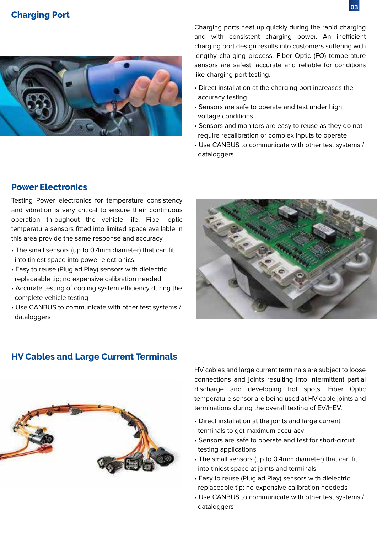### **Charging Port**



Charging ports heat up quickly during the rapid charging and with consistent charging power. An inefficient charging port design results into customers suffering with lengthy charging process. Fiber Optic (FO) temperature sensors are safest, accurate and reliable for conditions like charging port testing.

- Direct installation at the charging port increases the accuracy testing
- Sensors are safe to operate and test under high voltage conditions
- Sensors and monitors are easy to reuse as they do not require recalibration or complex inputs to operate
- Use CANBUS to communicate with other test systems / dataloggers

### **Power Electronics**

Testing Power electronics for temperature consistency and vibration is very critical to ensure their continuous operation throughout the vehicle life. Fiber optic temperature sensors fitted into limited space available in this area provide the same response and accuracy.

- The small sensors (up to 0.4mm diameter) that can fit into tiniest space into power electronics
- Easy to reuse (Plug ad Play) sensors with dielectric replaceable tip; no expensive calibration needed
- Accurate testing of cooling system efficiency during the complete vehicle testing
- Use CANBUS to communicate with other test systems / dataloggers



### **HV Cables and Large Current Terminals**



HV cables and large current terminals are subject to loose connections and joints resulting into intermittent partial discharge and developing hot spots. Fiber Optic temperature sensor are being used at HV cable joints and terminations during the overall testing of EV/HEV.

- Direct installation at the joints and large current terminals to get maximum accuracy
- Sensors are safe to operate and test for short-circuit testing applications
- The small sensors (up to 0.4mm diameter) that can fit into tiniest space at joints and terminals
- Easy to reuse (Plug ad Play) sensors with dielectric replaceable tip; no expensive calibration neededs
- Use CANBUS to communicate with other test systems / dataloggers

**03**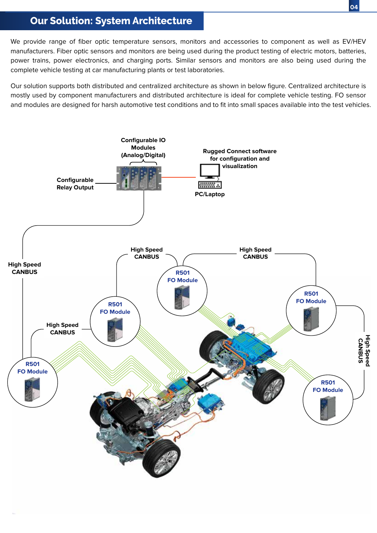# **Our Solution: System Architecture**

We provide range of fiber optic temperature sensors, monitors and accessories to component as well as EV/HEV manufacturers. Fiber optic sensors and monitors are being used during the product testing of electric motors, batteries, power trains, power electronics, and charging ports. Similar sensors and monitors are also being used during the complete vehicle testing at car manufacturing plants or test laboratories.

Our solution supports both distributed and centralized architecture as shown in below figure. Centralized architecture is mostly used by component manufacturers and distributed architecture is ideal for complete vehicle testing. FO sensor and modules are designed for harsh automotive test conditions and to fit into small spaces available into the test vehicles.

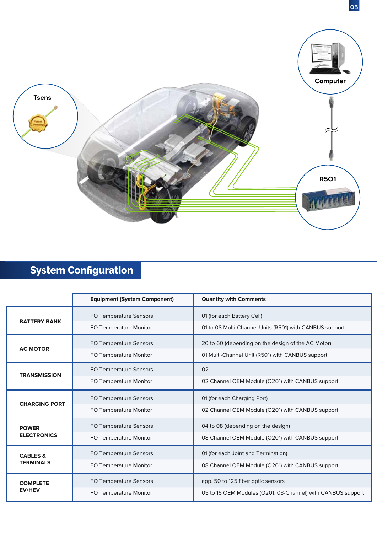

# **System Configuration**

|                                         | <b>Equipment (System Component)</b> | <b>Quantity with Comments</b>                               |
|-----------------------------------------|-------------------------------------|-------------------------------------------------------------|
| <b>BATTERY BANK</b>                     | <b>FO Temperature Sensors</b>       | 01 (for each Battery Cell)                                  |
|                                         | FO Temperature Monitor              | 01 to 08 Multi-Channel Units (R501) with CANBUS support     |
| <b>AC MOTOR</b>                         | FO Temperature Sensors              | 20 to 60 (depending on the design of the AC Motor)          |
|                                         | FO Temperature Monitor              | 01 Multi-Channel Unit (R501) with CANBUS support            |
| <b>TRANSMISSION</b>                     | FO Temperature Sensors              | 02                                                          |
|                                         | FO Temperature Monitor              | 02 Channel OEM Module (O201) with CANBUS support            |
| <b>CHARGING PORT</b>                    | FO Temperature Sensors              | 01 (for each Charging Port)                                 |
|                                         | FO Temperature Monitor              | 02 Channel OEM Module (O201) with CANBUS support            |
| <b>POWER</b><br><b>ELECTRONICS</b>      | FO Temperature Sensors              | 04 to 08 (depending on the design)                          |
|                                         | FO Temperature Monitor              | 08 Channel OEM Module (O201) with CANBUS support            |
| <b>CABLES &amp;</b><br><b>TERMINALS</b> | FO Temperature Sensors              | 01 (for each Joint and Termination)                         |
|                                         | FO Temperature Monitor              | 08 Channel OEM Module (O201) with CANBUS support            |
| <b>COMPLETE</b><br><b>EV/HEV</b>        | FO Temperature Sensors              | app. 50 to 125 fiber optic sensors                          |
|                                         | FO Temperature Monitor              | 05 to 16 OEM Modules (O201, 08-Channel) with CANBUS support |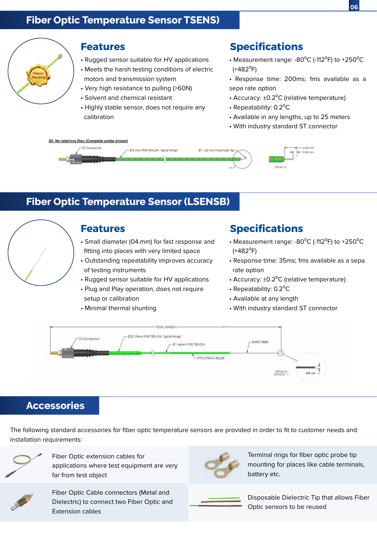

#### **Features**

- Rugged sensor suitable for HV applications
- Meets the harsh testing conditions of electric motors and transmission system
- Very high resistance to pulling (>60N)
- Solvent and chemical resistant
- Highly stable sensor, does not require any calibration

# **Specifications**

- Measurement range: -80 $^{\circ}$ C (-112 $^{\circ}$ F) to +250 $^{\circ}$ C  $(+482^{\circ}F)$
- Response time: 200ms; 1ms available as a sepa rate option
- Accuracy:  $\pm 0.2$ <sup>o</sup>C (relative temperature)
- Repeatability: 0.2<sup>o</sup>C
- Available in any lengths, up to 25 meters
- With industry standard ST connector



# **Fiber Optic Temperature Sensor (LSENSB)**



### **Features**

- Small diameter (04.mm) for fast response and fitting into places with very limited space
- Outstanding repeatability improves accuracy of testing instruments
- Rugged sensor suitable for HV applications
- Plug and Play operation, does not require setup or calibration
- Minimal thermal shunting

# **Specifications**

- Measurement range: -80 $^{\circ}$ C (-112 $^{\circ}$ F) to +250 $^{\circ}$ C  $(+482^{\circ}F)$
- Response time: 35ms; 1ms available as a sepa rate option
- Accuracy:  $\pm 0.2$ <sup>o</sup>C (relative temperature)
- Repeatability:  $0.2$ <sup>o</sup>C
- Available at any length
- With industry standard ST connector



### **Accessories**

The following standard accessories for fiber optic temperature sensors are provided in order to fit to customer needs and installation requirements:



Fiber Optic extension cables for applications where test equipment are very far from test object



Terminal rings for fiber optic probe tip mounting for places like cable terminals, battery etc.



Fiber Optic Cable connectors (Metal and Dielectric) to connect two Fiber Optic and Extension cables

Disposable Dielectric Tip that allows Fiber Optic sensors to be reused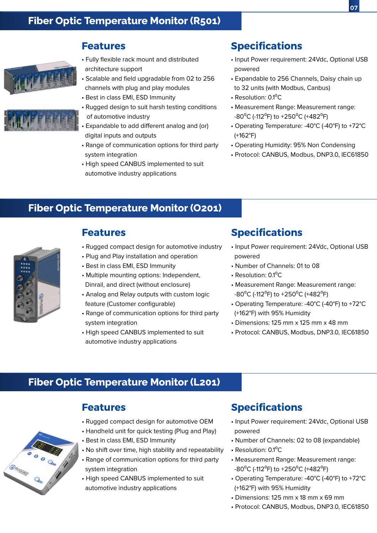



#### **Features**

- Fully flexible rack mount and distributed architecture support
- Scalable and field upgradable from 02 to 256 channels with plug and play modules
- Best in class EMI, ESD Immunity
- Rugged design to suit harsh testing conditions of automotive industry
- Expandable to add different analog and (or) digital inputs and outputs
- Range of communication options for third party system integration
- High speed CANBUS implemented to suit automotive industry applications

## **Specifications**

- Input Power requirement: 24Vdc, Optional USB powered
- Expandable to 256 Channels, Daisy chain up to 32 units (with Modbus, Canbus)
- Resolution:  $0.1$ <sup>o</sup>C
- Measurement Range: Measurement range: -80<sup>o</sup>C (-112<sup>o</sup>F) to +250<sup>o</sup>C (+482<sup>o</sup>F)
- Operating Temperature: -40°C (-40°F) to +72°C (+162°F)
- Operating Humidity: 95% Non Condensing
- Protocol: CANBUS, Modbus, DNP3.0, IEC61850

### **Fiber Optic Temperature Monitor (O201)**



### **Features**

- Rugged compact design for automotive industry
- Plug and Play installation and operation
- Best in class EMI, ESD Immunity
- Multiple mounting options: Independent, Dinrail, and direct (without enclosure)
- Analog and Relay outputs with custom logic feature (Customer configurable)
- Range of communication options for third party system integration
- High speed CANBUS implemented to suit automotive industry applications

## **Specifications**

- Input Power requirement: 24Vdc, Optional USB powered
- Number of Channels: 01 to 08
- Resolution: 0.1<sup>o</sup>C
- Measurement Range: Measurement range: -80<sup>o</sup>C (-112<sup>o</sup>F) to +250<sup>o</sup>C (+482<sup>o</sup>F)
- Operating Temperature: -40°C (-40°F) to +72°C (+162°F) with 95% Humidity
- Dimensions: 125 mm x 125 mm x 48 mm
- Protocol: CANBUS, Modbus, DNP3.0, IEC61850

### **Fiber Optic Temperature Monitor (L201)**

## **Features**

- Rugged compact design for automotive OEM
- Handheld unit for quick testing (Plug and Play)
- Best in class EMI, ESD Immunity
- No shift over time, high stability and repeatability
- Range of communication options for third party system integration
- High speed CANBUS implemented to suit automotive industry applications

### **Specifications**

- Input Power requirement: 24Vdc, Optional USB powered
- Number of Channels: 02 to 08 (expandable)
- Resolution: 0.1<sup>o</sup>C
- Measurement Range: Measurement range: -80<sup>o</sup>C (-112<sup>o</sup>F) to +250<sup>o</sup>C (+482<sup>o</sup>F)
- Operating Temperature: -40°C (-40°F) to +72°C (+162°F) with 95% Humidity
- Dimensions: 125 mm x 18 mm x 69 mm
- Protocol: CANBUS, Modbus, DNP3.0, IEC61850